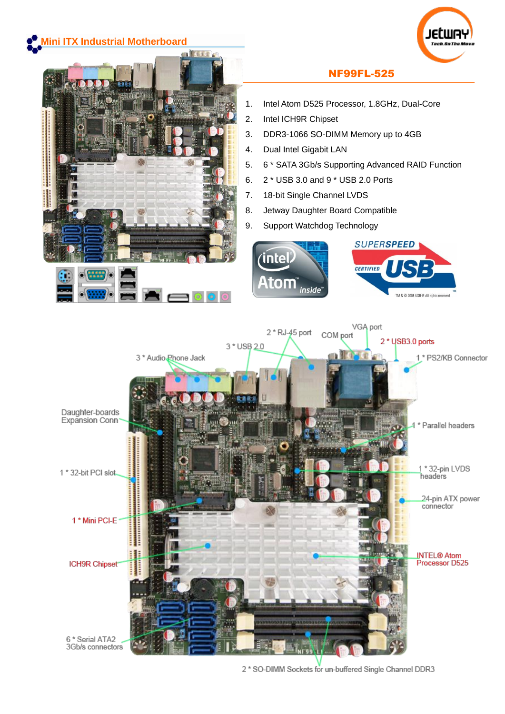

<sup>2 \*</sup> SO-DIMM Sockets for un-buffered Single Channel DDR3